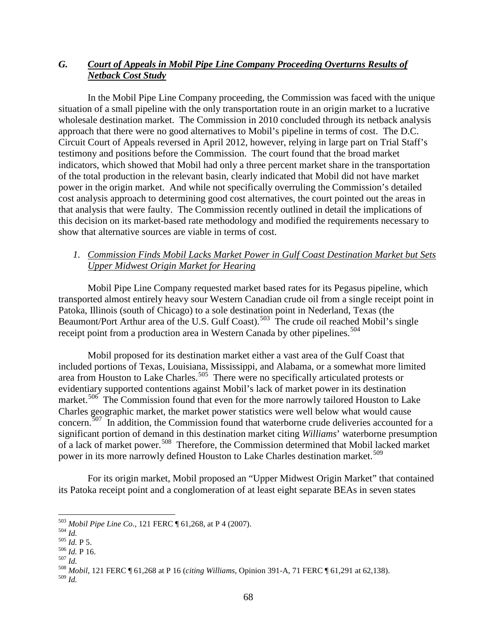# *G. Court of Appeals in Mobil Pipe Line Company Proceeding Overturns Results of Netback Cost Study*

In the Mobil Pipe Line Company proceeding, the Commission was faced with the unique situation of a small pipeline with the only transportation route in an origin market to a lucrative wholesale destination market. The Commission in 2010 concluded through its netback analysis approach that there were no good alternatives to Mobil's pipeline in terms of cost. The D.C. Circuit Court of Appeals reversed in April 2012, however, relying in large part on Trial Staff's testimony and positions before the Commission. The court found that the broad market indicators, which showed that Mobil had only a three percent market share in the transportation of the total production in the relevant basin, clearly indicated that Mobil did not have market power in the origin market. And while not specifically overruling the Commission's detailed cost analysis approach to determining good cost alternatives, the court pointed out the areas in that analysis that were faulty. The Commission recently outlined in detail the implications of this decision on its market-based rate methodology and modified the requirements necessary to show that alternative sources are viable in terms of cost.

## *1. Commission Finds Mobil Lacks Market Power in Gulf Coast Destination Market but Sets Upper Midwest Origin Market for Hearing*

Mobil Pipe Line Company requested market based rates for its Pegasus pipeline, which transported almost entirely heavy sour Western Canadian crude oil from a single receipt point in Patoka, Illinois (south of Chicago) to a sole destination point in Nederland, Texas (the Beaumont/Port Arthur area of the U.S. Gulf Coast).<sup>503</sup> The crude oil reached Mobil's single receipt point from a production area in Western Canada by other pipelines.<sup>[504](#page-0-1)</sup>

Mobil proposed for its destination market either a vast area of the Gulf Coast that included portions of Texas, Louisiana, Mississippi, and Alabama, or a somewhat more limited area from Houston to Lake Charles.<sup>505</sup> There were no specifically articulated protests or evidentiary supported contentions against Mobil's lack of market power in its destination market.<sup>[506](#page-0-3)</sup> The Commission found that even for the more narrowly tailored Houston to Lake Charles geographic market, the market power statistics were well below what would cause concern.<sup>[507](#page-0-4)</sup> In addition, the Commission found that waterborne crude deliveries accounted for a significant portion of demand in this destination market citing *Williams*' waterborne presumption of a lack of market power. [508](#page-0-5) Therefore, the Commission determined that Mobil lacked market power in its more narrowly defined Houston to Lake Charles destination market.<sup>[509](#page-0-6)</sup>

For its origin market, Mobil proposed an "Upper Midwest Origin Market" that contained its Patoka receipt point and a conglomeration of at least eight separate BEAs in seven states

<span id="page-0-2"></span>

<span id="page-0-4"></span><span id="page-0-3"></span>

<span id="page-0-1"></span><span id="page-0-0"></span><sup>&</sup>lt;sup>503</sup> Mobil Pipe Line Co., 121 FERC ¶ 61,268, at P 4 (2007).<br><sup>504</sup> Id.<br><sup>505</sup> Id. P 5.<br><sup>506</sup> Id. P 16.<br><sup>507</sup> Id.<br><sup>508</sup> Mobil, 121 FERC ¶ 61,268 at P 16 (*citing Williams*, Opinion 391-A, 71 FERC ¶ 61,291 at 62,138).

<span id="page-0-6"></span><span id="page-0-5"></span><sup>509</sup> *Id.*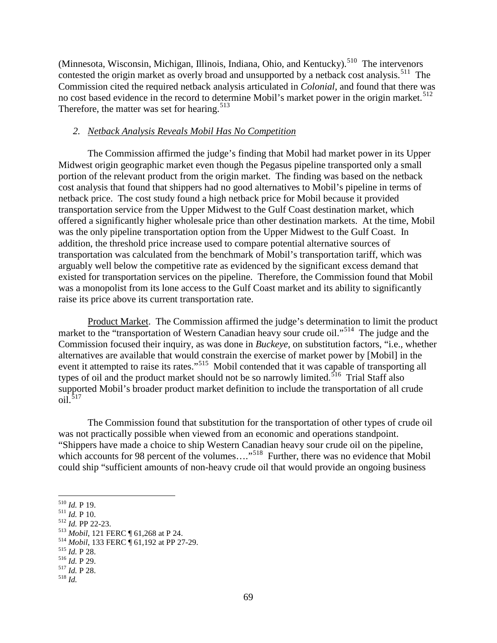(Minnesota, Wisconsin, Michigan, Illinois, Indiana, Ohio, and Kentucky).<sup>[510](#page-1-0)</sup> The intervenors contested the origin market as overly broad and unsupported by a netback cost analysis.<sup>[511](#page-1-1)</sup> The Commission cited the required netback analysis articulated in *Colonial*, and found that there was no cost based evidence in the record to determine Mobil's market power in the origin market.<sup>[512](#page-1-2)</sup> Therefore, the matter was set for hearing.<sup>[513](#page-1-3)</sup>

#### *2. Netback Analysis Reveals Mobil Has No Competition*

The Commission affirmed the judge's finding that Mobil had market power in its Upper Midwest origin geographic market even though the Pegasus pipeline transported only a small portion of the relevant product from the origin market. The finding was based on the netback cost analysis that found that shippers had no good alternatives to Mobil's pipeline in terms of netback price. The cost study found a high netback price for Mobil because it provided transportation service from the Upper Midwest to the Gulf Coast destination market, which offered a significantly higher wholesale price than other destination markets. At the time, Mobil was the only pipeline transportation option from the Upper Midwest to the Gulf Coast. In addition, the threshold price increase used to compare potential alternative sources of transportation was calculated from the benchmark of Mobil's transportation tariff, which was arguably well below the competitive rate as evidenced by the significant excess demand that existed for transportation services on the pipeline. Therefore, the Commission found that Mobil was a monopolist from its lone access to the Gulf Coast market and its ability to significantly raise its price above its current transportation rate.

Product Market. The Commission affirmed the judge's determination to limit the product market to the "transportation of Western Canadian heavy sour crude oil."<sup>[514](#page-1-4)</sup> The judge and the Commission focused their inquiry, as was done in *Buckeye*, on substitution factors, "i.e., whether alternatives are available that would constrain the exercise of market power by [Mobil] in the event it attempted to raise its rates."<sup>[515](#page-1-5)</sup> Mobil contended that it was capable of transporting all types of oil and the product market should not be so narrowly limited.<sup>[516](#page-1-6)</sup> Trial Staff also supported Mobil's broader product market definition to include the transportation of all crude  $\frac{1}{1}$ .[517](#page-1-7)

The Commission found that substitution for the transportation of other types of crude oil was not practically possible when viewed from an economic and operations standpoint. "Shippers have made a choice to ship Western Canadian heavy sour crude oil on the pipeline, which accounts for 98 percent of the volumes....<sup>[518](#page-1-8)</sup> Further, there was no evidence that Mobil could ship "sufficient amounts of non-heavy crude oil that would provide an ongoing business

- <span id="page-1-3"></span><span id="page-1-2"></span>
- 
- <span id="page-1-1"></span><span id="page-1-0"></span><sup>510</sup> *Id.* P 19.<br>
<sup>512</sup> *Id.* P 10.<br>
<sup>512</sup> *Id.* PP 22-23.<br>
<sup>513</sup> *Mobil*, 121 FERC ¶ 61,268 at P 24.<br>
<sup>514</sup> *Mobil*, 133 FERC ¶ 61,192 at PP 27-29.<br>
<sup>515</sup> *Id.* P 28.<br>
<sup>516</sup> *Id.* P 29.<br>
<sup>517</sup> *Id.* P 28.<br>
<sup>517</sup> *Id.* P
- <span id="page-1-5"></span><span id="page-1-4"></span>

<span id="page-1-7"></span>

<span id="page-1-6"></span>

<span id="page-1-8"></span>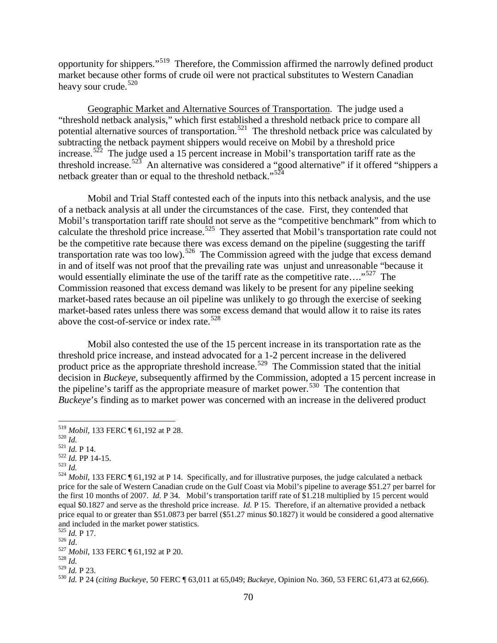opportunity for shippers."[519](#page-2-0) Therefore, the Commission affirmed the narrowly defined product market because other forms of crude oil were not practical substitutes to Western Canadian heavy sour crude.<sup>[520](#page-2-1)</sup>

Geographic Market and Alternative Sources of Transportation. The judge used a "threshold netback analysis," which first established a threshold netback price to compare all potential alternative sources of transportation.<sup>[521](#page-2-2)</sup> The threshold netback price was calculated by subtracting the netback payment shippers would receive on Mobil by a threshold price increase.<sup>[522](#page-2-3)</sup> The judge used a 15 percent increase in Mobil's transportation tariff rate as the threshold increase.<sup>523</sup> An alternative was considered a "good alternative" if it offered "shippers a netback greater than or equal to the threshold netback."<sup>[524](#page-2-5)</sup>

Mobil and Trial Staff contested each of the inputs into this netback analysis, and the use of a netback analysis at all under the circumstances of the case. First, they contended that Mobil's transportation tariff rate should not serve as the "competitive benchmark" from which to calculate the threshold price increase.<sup>525</sup> They asserted that Mobil's transportation rate could not be the competitive rate because there was excess demand on the pipeline (suggesting the tariff transportation rate was too low).<sup>[526](#page-2-7)</sup> The Commission agreed with the judge that excess demand in and of itself was not proof that the prevailing rate was unjust and unreasonable "because it would essentially eliminate the use of the tariff rate as the competitive rate...."<sup>[527](#page-2-8)</sup> The Commission reasoned that excess demand was likely to be present for any pipeline seeking market-based rates because an oil pipeline was unlikely to go through the exercise of seeking market-based rates unless there was some excess demand that would allow it to raise its rates above the cost-of-service or index rate.<sup>[528](#page-2-9)</sup>

Mobil also contested the use of the 15 percent increase in its transportation rate as the threshold price increase, and instead advocated for a 1-2 percent increase in the delivered product price as the appropriate threshold increase.<sup>529</sup> The Commission stated that the initial decision in *Buckeye*, subsequently affirmed by the Commission, adopted a 15 percent increase in the pipeline's tariff as the appropriate measure of market power.<sup>[530](#page-2-11)</sup> The contention that *Buckeye*'s finding as to market power was concerned with an increase in the delivered product

<span id="page-2-5"></span>

<span id="page-2-2"></span>

<span id="page-2-4"></span><span id="page-2-3"></span>

<span id="page-2-1"></span><span id="page-2-0"></span><sup>&</sup>lt;sup>519</sup> Mobil, 133 FERC ¶ 61,192 at P 28.<br><sup>520</sup> *Id.*<br><sup>521</sup> *Id.* P 14.<br><sup>522</sup> *Id.* PP 14-15.<br><sup>523</sup> *Id.*<br><sup>524</sup> Mobil, 133 FERC ¶ 61,192 at P 14. Specifically, and for illustrative purposes, the judge calculated a netback<br><sup></sup> price for the sale of Western Canadian crude on the Gulf Coast via Mobil's pipeline to average \$51.27 per barrel for the first 10 months of 2007. *Id.* P 34. Mobil's transportation tariff rate of \$1.218 multiplied by 15 percent would equal \$0.1827 and serve as the threshold price increase. *Id.* P 15. Therefore, if an alternative provided a netback price equal to or greater than \$51.0873 per barrel (\$51.27 minus \$0.1827) it would be considered a good alternative and included in the market power statistics.<br> $525$  *Id.* P 17.

<span id="page-2-8"></span><span id="page-2-7"></span><span id="page-2-6"></span><sup>526</sup> *Id.*<br>
527 *Mobil*, 133 FERC ¶ 61,192 at P 20.<br>
528 *Id.*<br>
529 *Id.* P 23.

<span id="page-2-10"></span><span id="page-2-9"></span>

<span id="page-2-11"></span><sup>529</sup> *Id.* P 23. <sup>530</sup> *Id.* P 24 (*citing Buckeye*, 50 FERC ¶ 63,011 at 65,049; *Buckeye*, Opinion No. 360, 53 FERC 61,473 at 62,666).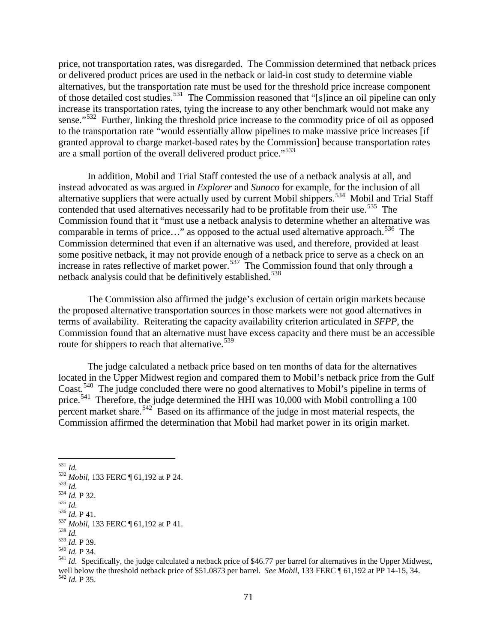price, not transportation rates, was disregarded. The Commission determined that netback prices or delivered product prices are used in the netback or laid-in cost study to determine viable alternatives, but the transportation rate must be used for the threshold price increase component of those detailed cost studies.<sup>531</sup> The Commission reasoned that "[s]ince an oil pipeline can only increase its transportation rates, tying the increase to any other benchmark would not make any sense."<sup>[532](#page-3-1)</sup> Further, linking the threshold price increase to the commodity price of oil as opposed to the transportation rate "would essentially allow pipelines to make massive price increases [if granted approval to charge market-based rates by the Commission] because transportation rates are a small portion of the overall delivered product price."<sup>533</sup>

In addition, Mobil and Trial Staff contested the use of a netback analysis at all, and instead advocated as was argued in *Explorer* and *Sunoco* for example, for the inclusion of all alternative suppliers that were actually used by current Mobil shippers.<sup>[534](#page-3-3)</sup> Mobil and Trial Staff contended that used alternatives necessarily had to be profitable from their use.<sup>535</sup> The Commission found that it "must use a netback analysis to determine whether an alternative was comparable in terms of price..." as opposed to the actual used alternative approach.<sup>[536](#page-3-5)</sup> The Commission determined that even if an alternative was used, and therefore, provided at least some positive netback, it may not provide enough of a netback price to serve as a check on an increase in rates reflective of market power.<sup>537</sup> The Commission found that only through a netback analysis could that be definitively established.<sup>[538](#page-3-7)</sup>

The Commission also affirmed the judge's exclusion of certain origin markets because the proposed alternative transportation sources in those markets were not good alternatives in terms of availability. Reiterating the capacity availability criterion articulated in *SFPP*, the Commission found that an alternative must have excess capacity and there must be an accessible route for shippers to reach that alternative.<sup>[539](#page-3-8)</sup>

The judge calculated a netback price based on ten months of data for the alternatives located in the Upper Midwest region and compared them to Mobil's netback price from the Gulf Coast. [540](#page-3-9) The judge concluded there were no good alternatives to Mobil's pipeline in terms of price.<sup>541</sup> Therefore, the judge determined the HHI was 10,000 with Mobil controlling a 100 percent market share.<sup>542 $\degree$ </sup> Based on its affirmance of the judge in most material respects, the Commission affirmed the determination that Mobil had market power in its origin market.

<span id="page-3-2"></span>

<span id="page-3-6"></span><span id="page-3-5"></span><span id="page-3-4"></span><span id="page-3-3"></span>

<span id="page-3-1"></span><span id="page-3-0"></span><sup>531</sup> *Id.*<br>
532 *Mobil*, 133 FERC ¶ 61,192 at P 24.<br>
533 *Id.*<br>
534 *Id.* P 32.<br>
535 *Id.*<br>
536 *Id.* P 41.<br>
537 *Mobil*, 133 FERC ¶ 61,192 at P 41.<br>
538 *Id.*<br>
539 *Id.* P 39.

<span id="page-3-7"></span>

<span id="page-3-9"></span><span id="page-3-8"></span><sup>&</sup>lt;sup>540</sup> *Id.* P 34.<br><sup>541</sup> *Id.* Specifically, the judge calculated a netback price of \$46.77 per barrel for alternatives in the Upper Midwest,

<span id="page-3-11"></span><span id="page-3-10"></span>well below the threshold netback price of \$51.0873 per barrel. *See Mobil*, 133 FERC ¶ 61,192 at PP 14-15, 34. <sup>542</sup> *Id.* P 35.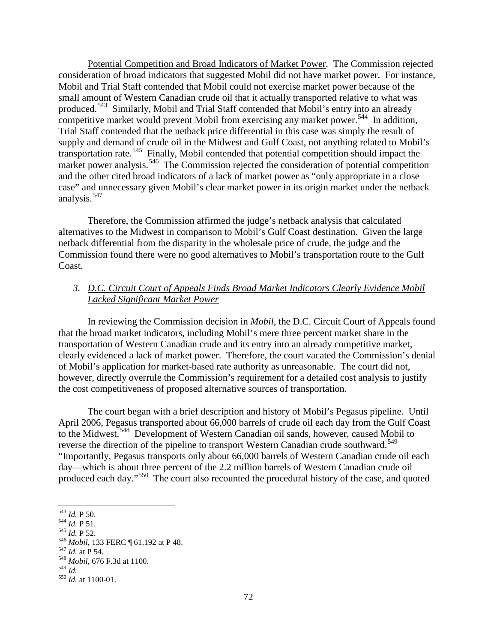Potential Competition and Broad Indicators of Market Power. The Commission rejected consideration of broad indicators that suggested Mobil did not have market power. For instance, Mobil and Trial Staff contended that Mobil could not exercise market power because of the small amount of Western Canadian crude oil that it actually transported relative to what was produced.<sup>[543](#page-4-0)</sup> Similarly, Mobil and Trial Staff contended that Mobil's entry into an already competitive market would prevent Mobil from exercising any market power.<sup>[544](#page-4-1)</sup> In addition, Trial Staff contended that the netback price differential in this case was simply the result of supply and demand of crude oil in the Midwest and Gulf Coast, not anything related to Mobil's transportation rate.<sup>[545](#page-4-2)</sup> Finally, Mobil contended that potential competition should impact the market power analysis.<sup>546</sup> The Commission rejected the consideration of potential competition and the other cited broad indicators of a lack of market power as "only appropriate in a close case" and unnecessary given Mobil's clear market power in its origin market under the netback analysis.<sup>[547](#page-4-4)</sup>

Therefore, the Commission affirmed the judge's netback analysis that calculated alternatives to the Midwest in comparison to Mobil's Gulf Coast destination. Given the large netback differential from the disparity in the wholesale price of crude, the judge and the Commission found there were no good alternatives to Mobil's transportation route to the Gulf Coast.

## *3. D.C. Circuit Court of Appeals Finds Broad Market Indicators Clearly Evidence Mobil Lacked Significant Market Power*

In reviewing the Commission decision in *Mobil*, the D.C. Circuit Court of Appeals found that the broad market indicators, including Mobil's mere three percent market share in the transportation of Western Canadian crude and its entry into an already competitive market, clearly evidenced a lack of market power. Therefore, the court vacated the Commission's denial of Mobil's application for market-based rate authority as unreasonable. The court did not, however, directly overrule the Commission's requirement for a detailed cost analysis to justify the cost competitiveness of proposed alternative sources of transportation.

The court began with a brief description and history of Mobil's Pegasus pipeline. Until April 2006, Pegasus transported about 66,000 barrels of crude oil each day from the Gulf Coast to the Midwest.<sup>548</sup> Development of Western Canadian oil sands, however, caused Mobil to reverse the direction of the pipeline to transport Western Canadian crude southward.<sup>549</sup> "Importantly, Pegasus transports only about 66,000 barrels of Western Canadian crude oil each day—which is about three percent of the 2.2 million barrels of Western Canadian crude oil produced each day."[550](#page-4-7) The court also recounted the procedural history of the case, and quoted

<span id="page-4-3"></span><span id="page-4-2"></span>

<span id="page-4-1"></span><span id="page-4-0"></span><sup>543</sup> *Id.* P 50. <sup>544</sup> *Id.* P 51. <sup>545</sup> *Id.* P 52. <sup>546</sup> *Mobil*, 133 FERC ¶ 61,192 at P 48. <sup>547</sup> *Id.* at P 54. <sup>548</sup> *Mobil*, 676 F.3d at 1100. <sup>549</sup> *Id.* <sup>550</sup> *Id.* at 1100-01.

<span id="page-4-4"></span>

<span id="page-4-5"></span>

<span id="page-4-7"></span><span id="page-4-6"></span>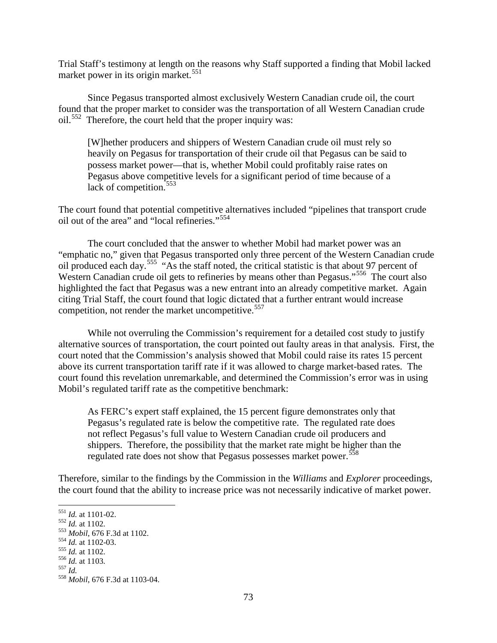Trial Staff's testimony at length on the reasons why Staff supported a finding that Mobil lacked market power in its origin market. $551$ 

Since Pegasus transported almost exclusively Western Canadian crude oil, the court found that the proper market to consider was the transportation of all Western Canadian crude oil.<sup>[552](#page-5-1)</sup> Therefore, the court held that the proper inquiry was:

[W]hether producers and shippers of Western Canadian crude oil must rely so heavily on Pegasus for transportation of their crude oil that Pegasus can be said to possess market power—that is, whether Mobil could profitably raise rates on Pegasus above competitive levels for a significant period of time because of a lack of competition.<sup>[553](#page-5-2)</sup>

The court found that potential competitive alternatives included "pipelines that transport crude oil out of the area" and "local refineries."[554](#page-5-3)

The court concluded that the answer to whether Mobil had market power was an "emphatic no," given that Pegasus transported only three percent of the Western Canadian crude oil produced each day.[555](#page-5-4) "As the staff noted, the critical statistic is that about 97 percent of Western Canadian crude oil gets to refineries by means other than Pegasus."<sup>[556](#page-5-5)</sup> The court also highlighted the fact that Pegasus was a new entrant into an already competitive market. Again citing Trial Staff, the court found that logic dictated that a further entrant would increase competition, not render the market uncompetitive.<sup>[557](#page-5-6)</sup>

While not overruling the Commission's requirement for a detailed cost study to justify alternative sources of transportation, the court pointed out faulty areas in that analysis. First, the court noted that the Commission's analysis showed that Mobil could raise its rates 15 percent above its current transportation tariff rate if it was allowed to charge market-based rates. The court found this revelation unremarkable, and determined the Commission's error was in using Mobil's regulated tariff rate as the competitive benchmark:

As FERC's expert staff explained, the 15 percent figure demonstrates only that Pegasus's regulated rate is below the competitive rate. The regulated rate does not reflect Pegasus's full value to Western Canadian crude oil producers and shippers. Therefore, the possibility that the market rate might be higher than the regulated rate does not show that Pegasus possesses market power.<sup>[558](#page-5-7)</sup>

Therefore, similar to the findings by the Commission in the *Williams* and *Explorer* proceedings, the court found that the ability to increase price was not necessarily indicative of market power.

<span id="page-5-2"></span>

<span id="page-5-1"></span><span id="page-5-0"></span><sup>551</sup> *Id.* at 1101-02.<br>
553 *Id.* at 1102.<br>
553 *Mobil*, 676 F.3d at 1102.<br>
555 *Id.* at 1102-03.<br>
555 *Id.* at 1103.<br>
557 *Id.*<br>
558 *Mobil*, 676 F.3d at 1103-04.

<span id="page-5-3"></span>

<span id="page-5-4"></span>

<span id="page-5-5"></span>

<span id="page-5-6"></span>

<span id="page-5-7"></span>